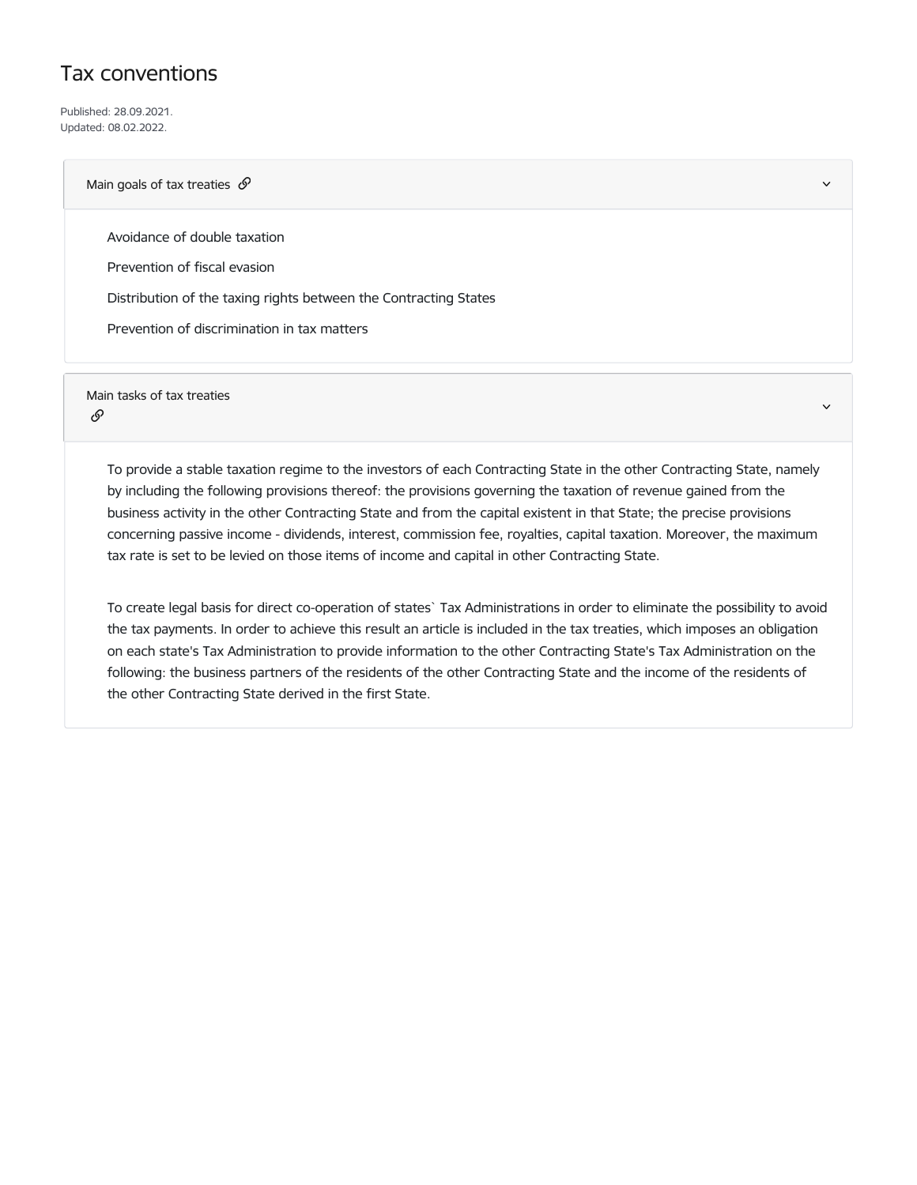## Tax conventions

Published: 28.09.2021. Updated: 08.02.2022.

## Main goals of tax treaties  $\mathcal{S}$

Avoidance of double taxation

Prevention of fiscal evasion

Distribution of the taxing rights between the Contracting States

Prevention of discrimination in tax matters

Main tasks of tax treaties

## ଙ

To provide a stable taxation regime to the investors of each Contracting State in the other Contracting State, namely by including the following provisions thereof: the provisions governing the taxation of revenue gained from the business activity in the other Contracting State and from the capital existent in that State; the precise provisions concerning passive income - dividends, interest, commission fee, royalties, capital taxation. Moreover, the maximum tax rate is set to be levied on those items of income and capital in other Contracting State.

v,

To create legal basis for direct co-operation of states` Tax Administrations in order to eliminate the possibility to avoid the tax payments. In order to achieve this result an article is included in the tax treaties, which imposes an obligation on each state's Tax Administration to provide information to the other Contracting State's Tax Administration on the following: the business partners of the residents of the other Contracting State and the income of the residents of the other Contracting State derived in the first State.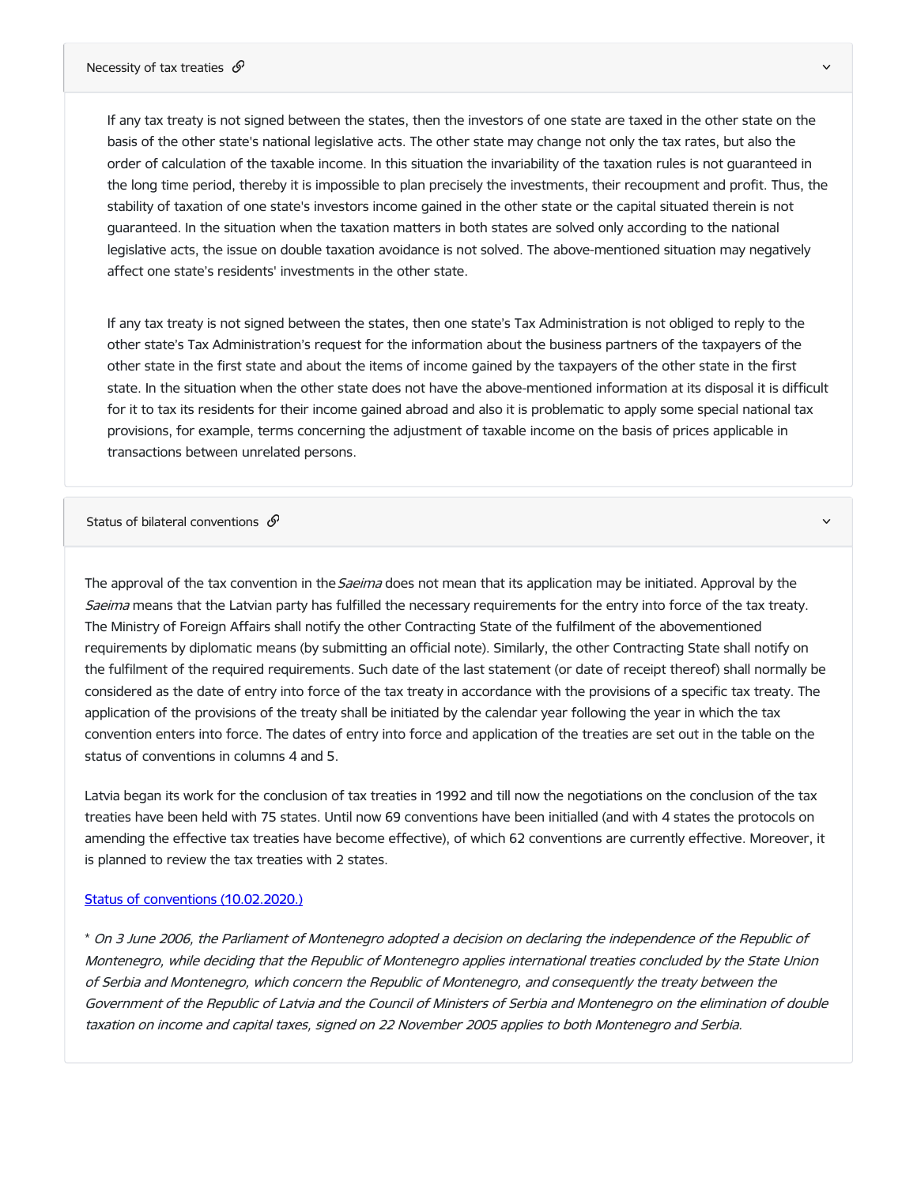If any tax treaty is not signed between the states, then the investors of one state are taxed in the other state on the basis of the other state's national legislative acts. The other state may change not only the tax rates, but also the order of calculation of the taxable income. In this situation the invariability of the taxation rules is not guaranteed in the long time period, thereby it is impossible to plan precisely the investments, their recoupment and profit. Thus, the stability of taxation of one state's investors income gained in the other state or the capital situated therein is not guaranteed. In the situation when the taxation matters in both states are solved only according to the national legislative acts, the issue on double taxation avoidance is not solved. The above-mentioned situation may negatively affect one state's residents' investments in the other state.

If any tax treaty is not signed between the states, then one state's Tax Administration is not obliged to reply to the other state's Tax Administration's request for the information about the business partners of the taxpayers of the other state in the first state and about the items of income gained by the taxpayers of the other state in the first state. In the situation when the other state does not have the above-mentioned information at its disposal it is difficult for it to tax its residents for their income gained abroad and also it is problematic to apply some special national tax provisions, for example, terms concerning the adjustment of taxable income on the basis of prices applicable in transactions between unrelated persons.

Status of bilateral conventions  $\mathscr S$ 

The approval of the tax convention in the Saeima does not mean that its application may be initiated. Approval by the Saeima means that the Latvian party has fulfilled the necessary requirements for the entry into force of the tax treaty. The Ministry of Foreign Affairs shall notify the other Contracting State of the fulfilment of the abovementioned requirements by diplomatic means (by submitting an official note). Similarly, the other Contracting State shall notify on the fulfilment of the required requirements. Such date of the last statement (or date of receipt thereof) shall normally be considered as the date of entry into force of the tax treaty in accordance with the provisions of a specific tax treaty. The application of the provisions of the treaty shall be initiated by the calendar year following the year in which the tax convention enters into force. The dates of entry into force and application of the treaties are set out in the table on the status of conventions in columns 4 and 5.

Latvia began its work for the conclusion of tax treaties in 1992 and till now the negotiations on the conclusion of the tax treaties have been held with 75 states. Until now 69 conventions have been initialled (and with 4 states the protocols on amending the effective tax treaties have become effective), of which 62 conventions are currently effective. Moreover, it is planned to review the tax treaties with 2 states.

## Status of conventions [\(10.02.2020.\)](https://www.fm.gov.lv/en/media/8349/download)

\* On 3 June 2006, the Parliament of Montenegro adopted <sup>a</sup> decision on declaring the independence of the Republic of Montenegro, while deciding that the Republic of Montenegro applies international treaties concluded by the State Union of Serbia and Montenegro, which concern the Republic of Montenegro, and consequently the treaty between the Government of the Republic of Latvia and the Council of Ministers of Serbia and Montenegro on the elimination of double taxation on income and capital taxes, signed on 22 November 2005 applies to both Montenegro and Serbia.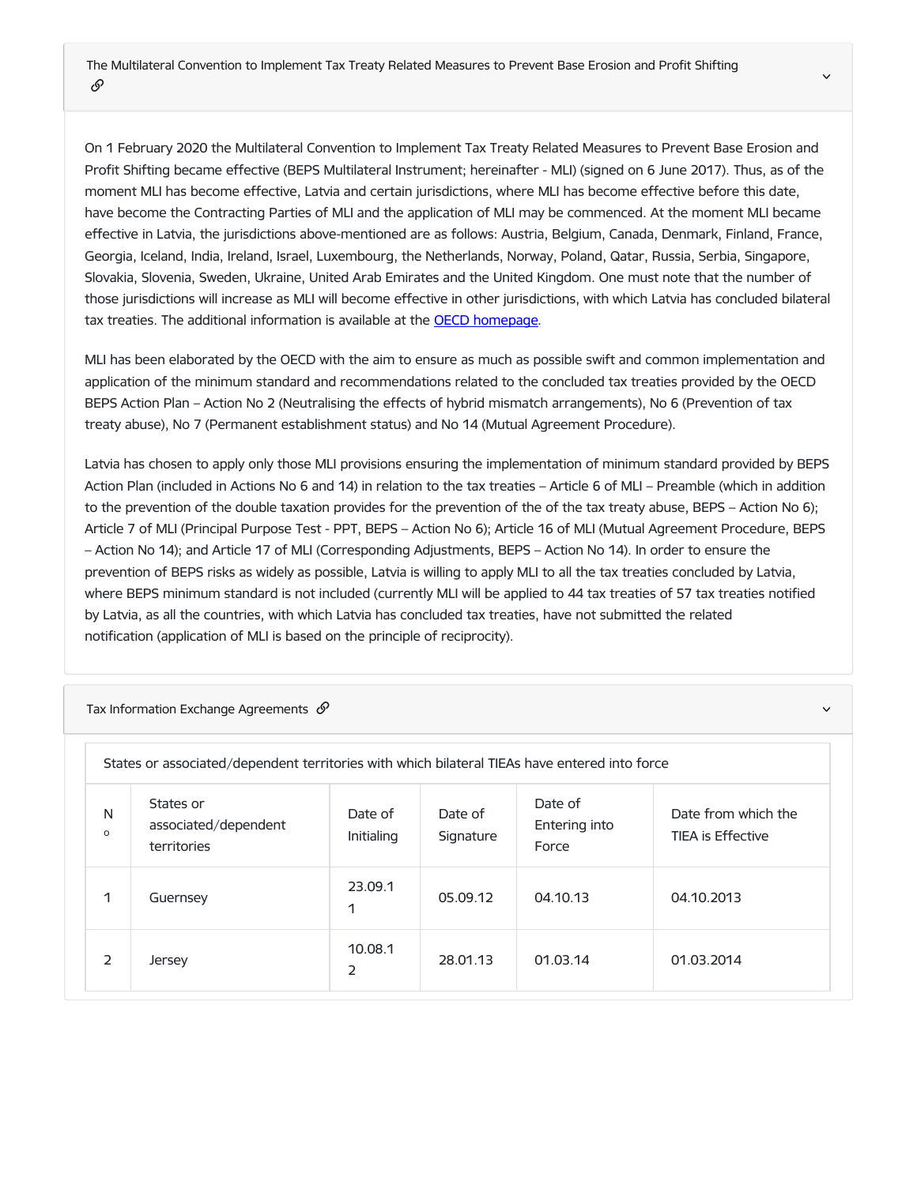On 1 February 2020 the Multilateral Convention to Implement Tax Treaty Related Measures to Prevent Base Erosion and Profit Shifting became effective (BEPS Multilateral Instrument; hereinafter - MLI) (signed on 6 June 2017). Thus, as of the moment MLI has become effective, Latvia and certain jurisdictions, where MLI has become effective before this date, have become the Contracting Parties of MLI and the application of MLI may be commenced. At the moment MLI became effective in Latvia, the jurisdictions above-mentioned are as follows: Austria, Belgium, Canada, Denmark, Finland, France, Georgia, Iceland, India, Ireland, Israel, Luxembourg, the Netherlands, Norway, Poland, Qatar, Russia, Serbia, Singapore, Slovakia, Slovenia, Sweden, Ukraine, United Arab Emirates and the United Kingdom. One must note that the number of those jurisdictions will increase as MLI will become effective in other jurisdictions, with which Latvia has concluded bilateral tax treaties. The additional information is available at the **OECD** [homepage](https://www.oecd.org/tax/treaties/mli-matching-database.htm).

MLI has been elaborated by the OECD with the aim to ensure as much as possible swift and common implementation and application of the minimum standard and recommendations related to the concluded tax treaties provided by the OECD BEPS Action Plan – Action No 2 (Neutralising the effects of hybrid mismatch arrangements), No 6 (Prevention of tax treaty abuse), No 7 (Permanent establishment status) and No 14 (Mutual Agreement Procedure).

Latvia has chosen to apply only those MLI provisions ensuring the implementation of minimum standard provided by BEPS Action Plan (included in Actions No 6 and 14) in relation to the tax treaties – Article 6 of MLI – Preamble (which in addition to the prevention of the double taxation provides for the prevention of the of the tax treaty abuse, BEPS – Action No 6); Article 7 of MLI (Principal Purpose Test - PPT, BEPS – Action No 6); Article 16 of MLI (Mutual Agreement Procedure, BEPS – Action No 14); and Article 17 of MLI (Corresponding Adjustments, BEPS – Action No 14). In order to ensure the prevention of BEPS risks as widely as possible, Latvia is willing to apply MLI to all the tax treaties concluded by Latvia, where BEPS minimum standard is not included (currently MLI will be applied to 44 tax treaties of 57 tax treaties notified by Latvia, as all the countries, with which Latvia has concluded tax treaties, have not submitted the related notification (application of MLI is based on the principle of reciprocity).

Tax Information Exchange Agreements  $\mathscr{P}$  and the contract of the contract of the contract of the contract of the contract of the contract of the contract of the contract of the contract of the contract of the contract

| States or associated/dependent territories with which bilateral TIEAs have entered into force |                                                  |                       |                      |                                   |                                                 |
|-----------------------------------------------------------------------------------------------|--------------------------------------------------|-----------------------|----------------------|-----------------------------------|-------------------------------------------------|
| N<br>$\circ$                                                                                  | States or<br>associated/dependent<br>territories | Date of<br>Initialing | Date of<br>Signature | Date of<br>Entering into<br>Force | Date from which the<br><b>TIEA is Effective</b> |
| 1                                                                                             | Guernsey                                         | 23.09.1<br>1          | 05.09.12             | 04.10.13                          | 04.10.2013                                      |
| $\mathcal{P}$                                                                                 | Jersey                                           | 10.08.1<br>2          | 28.01.13             | 01.03.14                          | 01.03.2014                                      |